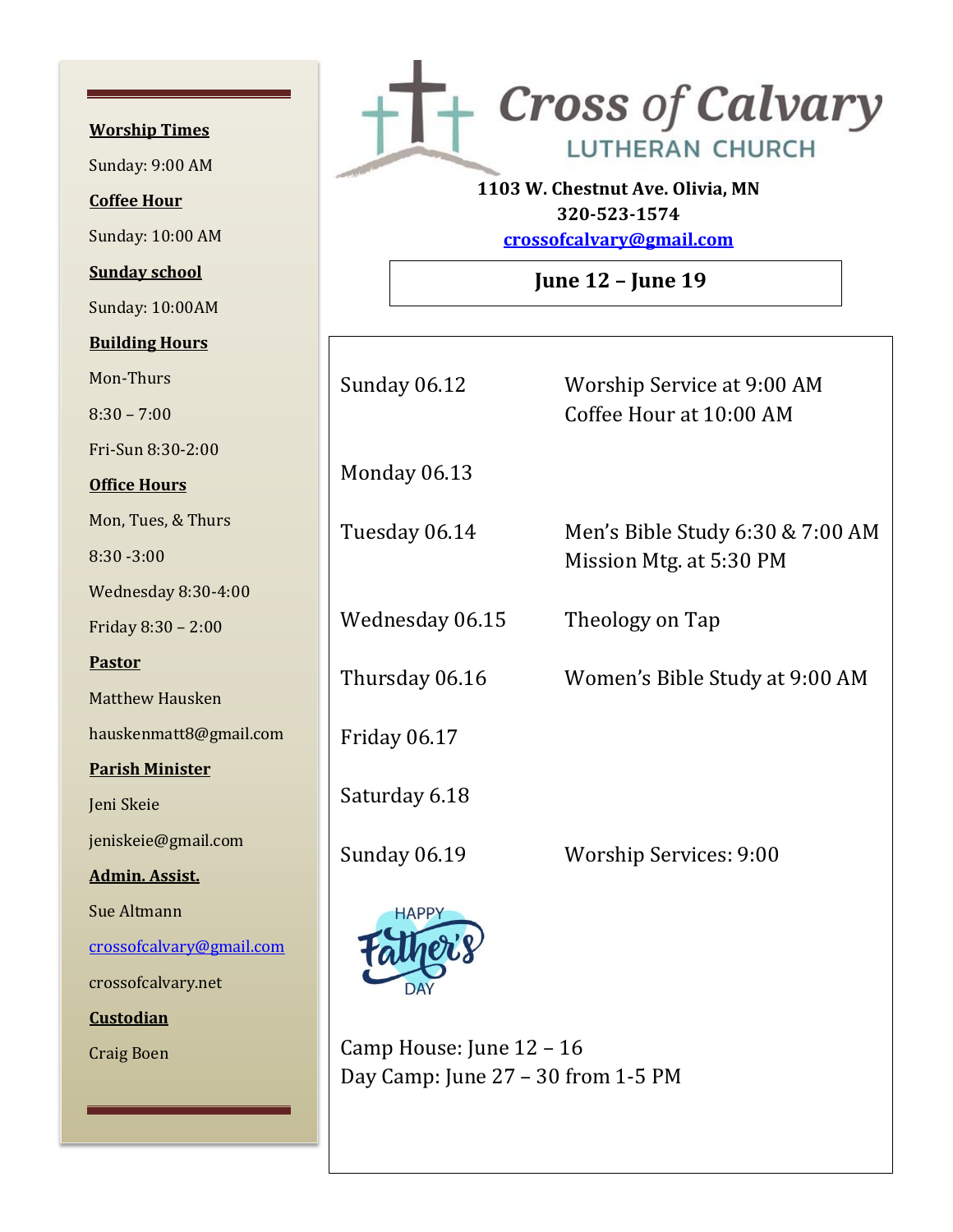**Worship Times**  Sunday: 9:00 AM **Coffee Hour** Sunday: 10:00 AM **Sunday school** Sunday: 10:00AM **Building Hours** Mon-Thurs 8:30 – 7:00 Fri-Sun 8:30-2:00 **Office Hours** Mon, Tues, & Thurs 8:30 -3:00 Wednesday 8:30-4:00 Friday 8:30 – 2:00 **Pastor** Matthew Hausken hauskenmatt8@gmail.com **Parish Minister** Jeni Skeie jeniskeie@gmail.com **Admin. Assist.** Sue Altmann [crossofcalvary@gmail.com](mailto:crossofcalvary@gmail.com) crossofcalvary.net **Custodian** Craig Boen



**1103 W. Chestnut Ave. Olivia, MN 320-523-1574**

**[crossofcalvary@gmail.com](mailto:crossofcalvary@gmail.com)**

**June 12 – June 19**

| <b>Sunday 06.12</b> | Worship Service at 9:00 AM<br>Coffee Hour at 10:00 AM       |
|---------------------|-------------------------------------------------------------|
| Monday 06.13        |                                                             |
| Tuesday 06.14       | Men's Bible Study 6:30 & 7:00 AM<br>Mission Mtg. at 5:30 PM |
| Wednesday 06.15     | Theology on Tap                                             |
| Thursday 06.16      | Women's Bible Study at 9:00 AM                              |
| Friday 06.17        |                                                             |
| Saturday 6.18       |                                                             |
| <b>Sunday 06.19</b> | <b>Worship Services: 9:00</b>                               |
| <b>HAPP</b>         |                                                             |

Camp House: June 12 – 16 Day Camp: June 27 – 30 from 1-5 PM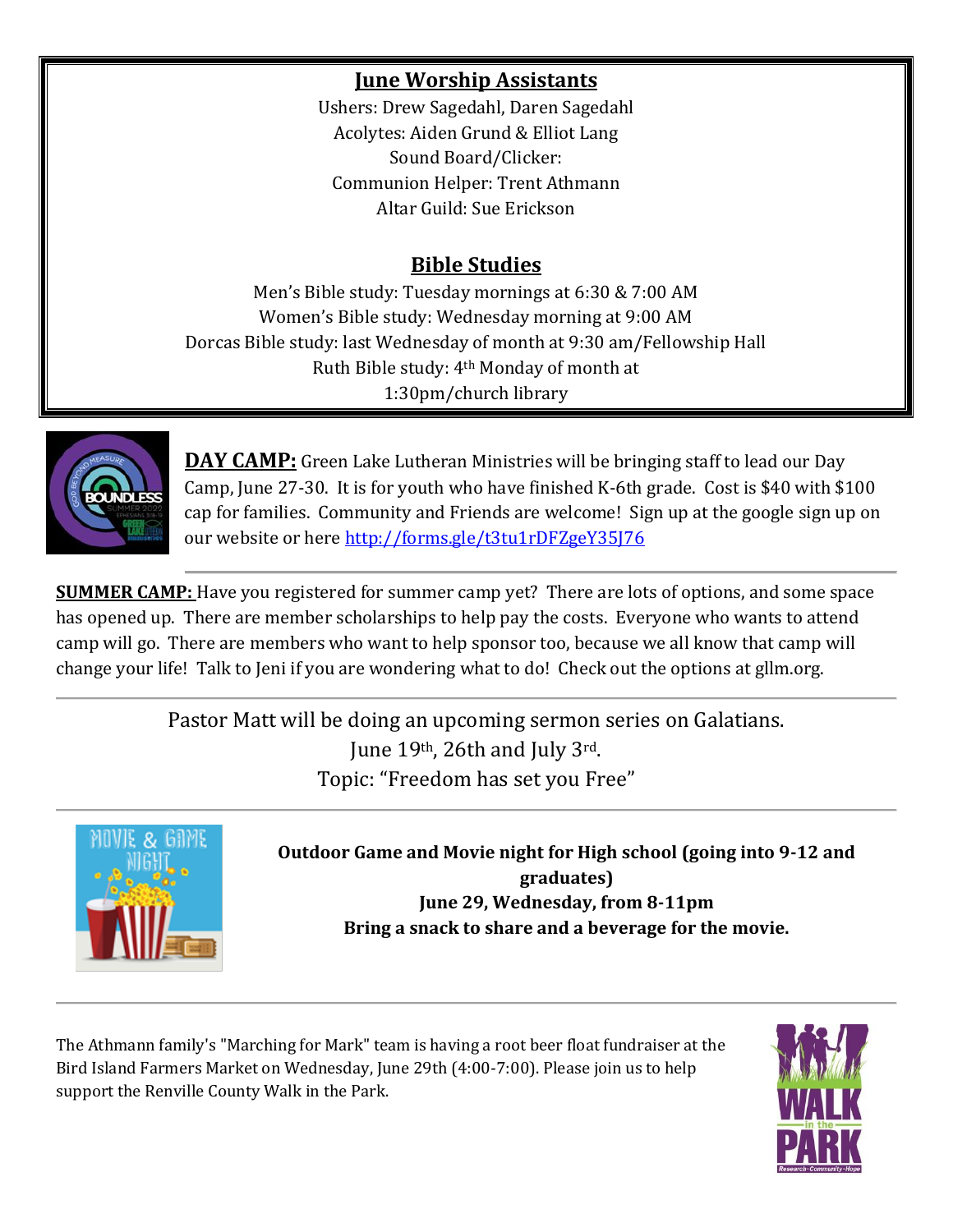# **June Worship Assistants**

Ushers: Drew Sagedahl, Daren Sagedahl Acolytes: Aiden Grund & Elliot Lang Sound Board/Clicker: Communion Helper: Trent Athmann Altar Guild: Sue Erickson

# **Bible Studies**

Men's Bible study: Tuesday mornings at 6:30 & 7:00 AM Women's Bible study: Wednesday morning at 9:00 AM Dorcas Bible study: last Wednesday of month at 9:30 am/Fellowship Hall Ruth Bible study: 4th Monday of month at 1:30pm/church library



**DAY CAMP:** Green Lake Lutheran Ministries will be bringing staff to lead our Day Camp, June 27-30. It is for youth who have finished K-6th grade. Cost is \$40 with \$100 cap for families. Community and Friends are welcome! Sign up at the google sign up on our website or here<http://forms.gle/t3tu1rDFZgeY35J76>

**SUMMER CAMP:** Have you registered for summer camp yet? There are lots of options, and some space has opened up. There are member scholarships to help pay the costs. Everyone who wants to attend camp will go. There are members who want to help sponsor too, because we all know that camp will change your life! Talk to Jeni if you are wondering what to do! Check out the options at gllm.org.

> Pastor Matt will be doing an upcoming sermon series on Galatians. June 19th, 26th and July 3rd. Topic: "Freedom has set you Free"



**Outdoor Game and Movie night for High school (going into 9-12 and graduates) June 29, Wednesday, from 8-11pm Bring a snack to share and a beverage for the movie.**

The Athmann family's "Marching for Mark" team is having a root beer float fundraiser at the Bird Island Farmers Market on Wednesday, June 29th (4:00-7:00). Please join us to help support the Renville County Walk in the Park.

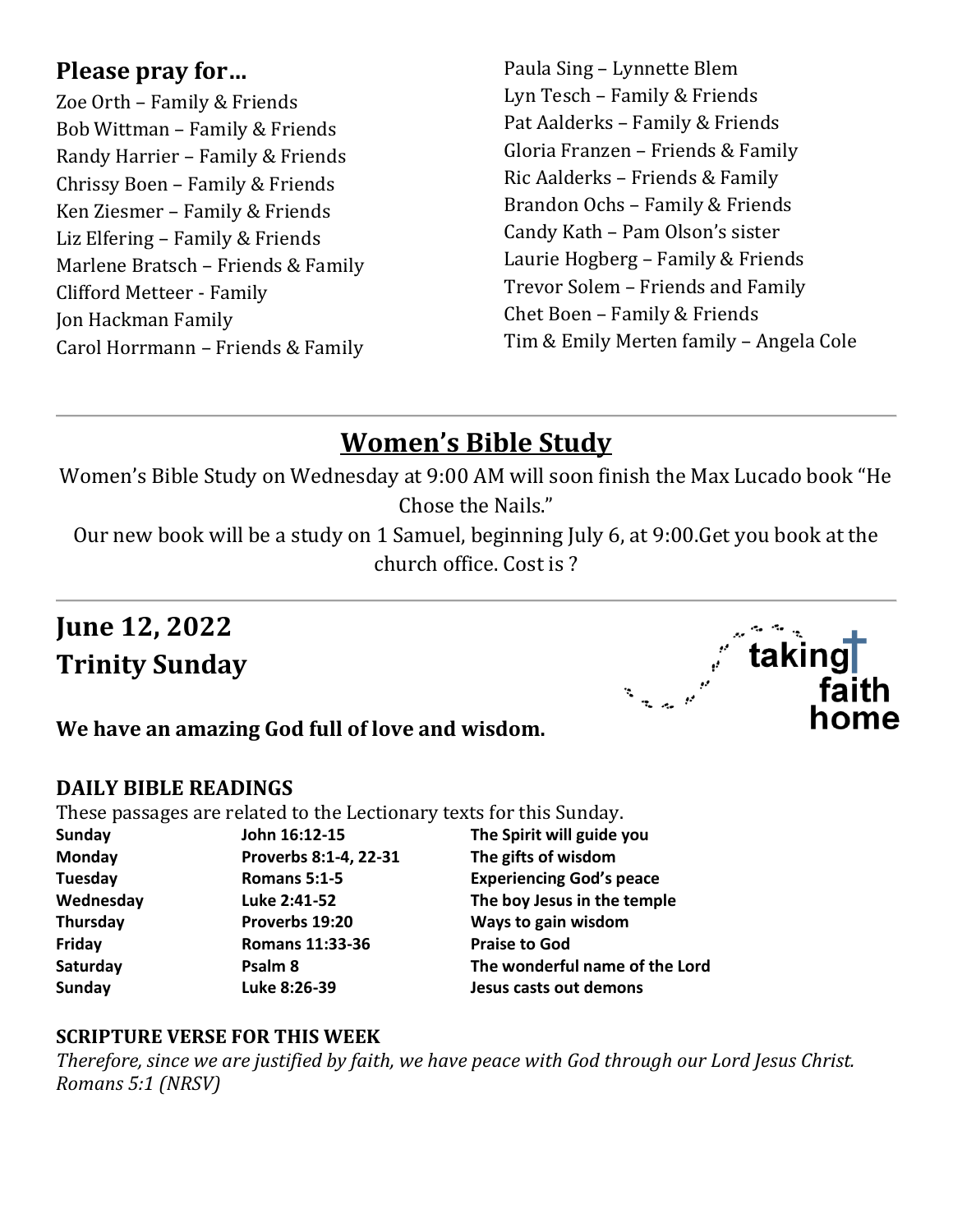# **Please pray for…**

Zoe Orth – Family & Friends Bob Wittman – Family & Friends Randy Harrier – Family & Friends Chrissy Boen – Family & Friends Ken Ziesmer – Family & Friends Liz Elfering – Family & Friends Marlene Bratsch – Friends & Family Clifford Metteer - Family Jon Hackman Family Carol Horrmann – Friends & Family

Paula Sing – Lynnette Blem Lyn Tesch – Family & Friends Pat Aalderks – Family & Friends Gloria Franzen – Friends & Family Ric Aalderks – Friends & Family Brandon Ochs – Family & Friends Candy Kath – Pam Olson's sister Laurie Hogberg – Family & Friends Trevor Solem – Friends and Family Chet Boen – Family & Friends Tim & Emily Merten family – Angela Cole

# **Women's Bible Study**

Women's Bible Study on Wednesday at 9:00 AM will soon finish the Max Lucado book "He Chose the Nails."

Our new book will be a study on 1 Samuel, beginning July 6, at 9:00.Get you book at the church office. Cost is ?

# **June 12, 2022 Trinity Sunday**



# **We have an amazing God full of love and wisdom.**

#### **DAILY BIBLE READINGS**

These passages are related to the Lectionary texts for this Sunday.

| <b>Sunday</b>   |  |
|-----------------|--|
| Monday          |  |
| <b>Tuesday</b>  |  |
| Wednesday       |  |
| <b>Thursday</b> |  |
| Friday          |  |
| Saturday        |  |
| <b>Sunday</b>   |  |
|                 |  |

**Romans 11:33-36 Praise to God** 

**Sunday John 16:12-15 The Spirit will guide you Monday Proverbs 8:1-4, 22-31 The gifts of wisdom Romans 5:1-5 Experiencing God's peace** Luke 2:41-52 The boy Jesus in the temple **Thursday Proverbs 19:20 Ways to gain wisdom Psalm 8** The wonderful name of the Lord **Sunday Luke 8:26-39 Jesus casts out demons** 

#### **SCRIPTURE VERSE FOR THIS WEEK**

*Therefore, since we are justified by faith, we have peace with God through our Lord Jesus Christ. Romans 5:1 (NRSV)*